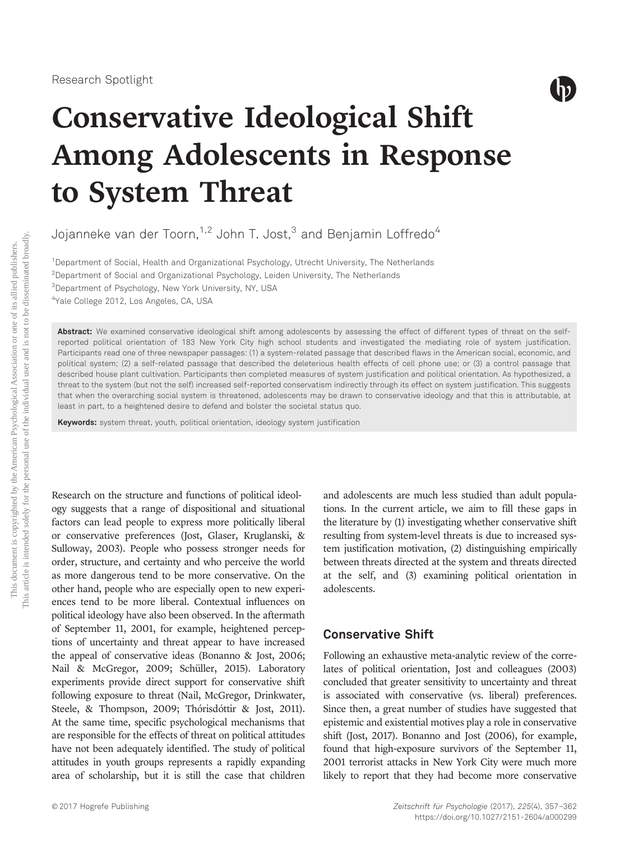

# Conservative Ideological Shift Among Adolescents in Response to System Threat

Jojanneke van der Toorn,<sup>1,2</sup> John T. Jost, $3$  and Benjamin Loffredo<sup>4</sup>

<sup>1</sup>Department of Social, Health and Organizational Psychology, Utrecht University, The Netherlands  $^{2}$ Department of Social and Organizational Psychology, Leiden University, The Netherlands 3 Department of Psychology, New York University, NY, USA 4 Yale College 2012, Los Angeles, CA, USA

Abstract: We examined conservative ideological shift among adolescents by assessing the effect of different types of threat on the selfreported political orientation of 183 New York City high school students and investigated the mediating role of system justification. Participants read one of three newspaper passages: (1) a system-related passage that described flaws in the American social, economic, and political system; (2) a self-related passage that described the deleterious health effects of cell phone use; or (3) a control passage that described house plant cultivation. Participants then completed measures of system justification and political orientation. As hypothesized, a threat to the system (but not the self) increased self-reported conservatism indirectly through its effect on system justification. This suggests that when the overarching social system is threatened, adolescents may be drawn to conservative ideology and that this is attributable, at least in part, to a heightened desire to defend and bolster the societal status quo.

Keywords: system threat, youth, political orientation, ideology system justification

Research on the structure and functions of political ideology suggests that a range of dispositional and situational factors can lead people to express more politically liberal or conservative preferences (Jost, Glaser, Kruglanski, & Sulloway, 2003). People who possess stronger needs for order, structure, and certainty and who perceive the world as more dangerous tend to be more conservative. On the other hand, people who are especially open to new experiences tend to be more liberal. Contextual influences on political ideology have also been observed. In the aftermath of September 11, 2001, for example, heightened perceptions of uncertainty and threat appear to have increased the appeal of conservative ideas (Bonanno & Jost, 2006; Nail & McGregor, 2009; Schüller, 2015). Laboratory experiments provide direct support for conservative shift following exposure to threat (Nail, McGregor, Drinkwater, Steele, & Thompson, 2009; Thórisdóttir & Jost, 2011). At the same time, specific psychological mechanisms that are responsible for the effects of threat on political attitudes have not been adequately identified. The study of political attitudes in youth groups represents a rapidly expanding area of scholarship, but it is still the case that children

and adolescents are much less studied than adult populations. In the current article, we aim to fill these gaps in the literature by (1) investigating whether conservative shift resulting from system-level threats is due to increased system justification motivation, (2) distinguishing empirically between threats directed at the system and threats directed at the self, and (3) examining political orientation in adolescents.

#### Conservative Shift

Following an exhaustive meta-analytic review of the correlates of political orientation, Jost and colleagues (2003) concluded that greater sensitivity to uncertainty and threat is associated with conservative (vs. liberal) preferences. Since then, a great number of studies have suggested that epistemic and existential motives play a role in conservative shift (Jost, 2017). Bonanno and Jost (2006), for example, found that high-exposure survivors of the September 11, 2001 terrorist attacks in New York City were much more likely to report that they had become more conservative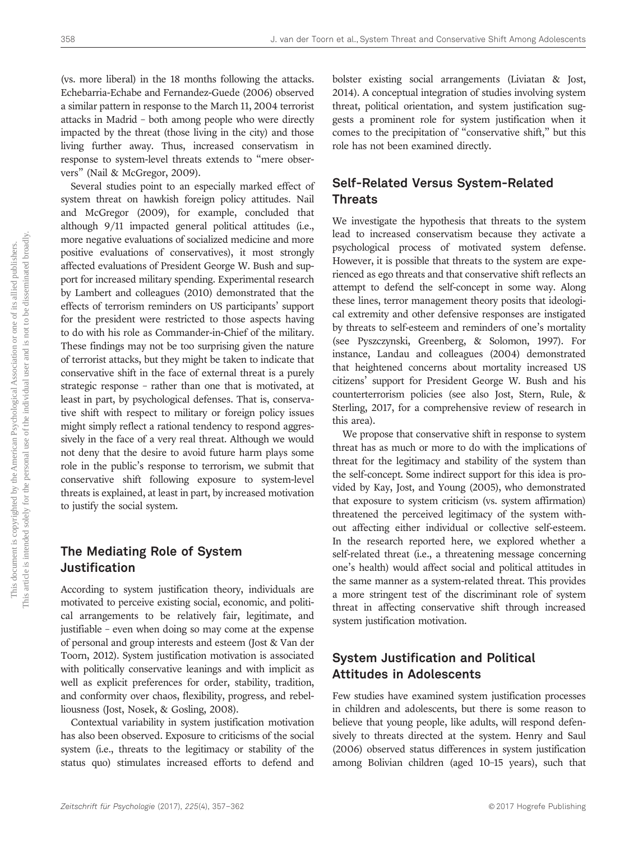(vs. more liberal) in the 18 months following the attacks. Echebarria-Echabe and Fernandez-Guede (2006) observed a similar pattern in response to the March 11, 2004 terrorist attacks in Madrid – both among people who were directly impacted by the threat (those living in the city) and those living further away. Thus, increased conservatism in response to system-level threats extends to "mere observers" (Nail & McGregor, 2009).

Several studies point to an especially marked effect of system threat on hawkish foreign policy attitudes. Nail and McGregor (2009), for example, concluded that although 9/11 impacted general political attitudes (i.e., more negative evaluations of socialized medicine and more positive evaluations of conservatives), it most strongly affected evaluations of President George W. Bush and support for increased military spending. Experimental research by Lambert and colleagues (2010) demonstrated that the effects of terrorism reminders on US participants' support for the president were restricted to those aspects having to do with his role as Commander-in-Chief of the military. These findings may not be too surprising given the nature of terrorist attacks, but they might be taken to indicate that conservative shift in the face of external threat is a purely strategic response – rather than one that is motivated, at least in part, by psychological defenses. That is, conservative shift with respect to military or foreign policy issues might simply reflect a rational tendency to respond aggressively in the face of a very real threat. Although we would not deny that the desire to avoid future harm plays some role in the public's response to terrorism, we submit that conservative shift following exposure to system-level threats is explained, at least in part, by increased motivation to justify the social system.

# The Mediating Role of System Justification

According to system justification theory, individuals are motivated to perceive existing social, economic, and political arrangements to be relatively fair, legitimate, and justifiable – even when doing so may come at the expense of personal and group interests and esteem (Jost & Van der Toorn, 2012). System justification motivation is associated with politically conservative leanings and with implicit as well as explicit preferences for order, stability, tradition, and conformity over chaos, flexibility, progress, and rebelliousness (Jost, Nosek, & Gosling, 2008).

Contextual variability in system justification motivation has also been observed. Exposure to criticisms of the social system (i.e., threats to the legitimacy or stability of the status quo) stimulates increased efforts to defend and bolster existing social arrangements (Liviatan & Jost, 2014). A conceptual integration of studies involving system threat, political orientation, and system justification suggests a prominent role for system justification when it comes to the precipitation of "conservative shift," but this role has not been examined directly.

# Self-Related Versus System-Related Threats

We investigate the hypothesis that threats to the system lead to increased conservatism because they activate a psychological process of motivated system defense. However, it is possible that threats to the system are experienced as ego threats and that conservative shift reflects an attempt to defend the self-concept in some way. Along these lines, terror management theory posits that ideological extremity and other defensive responses are instigated by threats to self-esteem and reminders of one's mortality (see Pyszczynski, Greenberg, & Solomon, 1997). For instance, Landau and colleagues (2004) demonstrated that heightened concerns about mortality increased US citizens' support for President George W. Bush and his counterterrorism policies (see also Jost, Stern, Rule, & Sterling, 2017, for a comprehensive review of research in this area).

We propose that conservative shift in response to system threat has as much or more to do with the implications of threat for the legitimacy and stability of the system than the self-concept. Some indirect support for this idea is provided by Kay, Jost, and Young (2005), who demonstrated that exposure to system criticism (vs. system affirmation) threatened the perceived legitimacy of the system without affecting either individual or collective self-esteem. In the research reported here, we explored whether a self-related threat (i.e., a threatening message concerning one's health) would affect social and political attitudes in the same manner as a system-related threat. This provides a more stringent test of the discriminant role of system threat in affecting conservative shift through increased system justification motivation.

# System Justification and Political Attitudes in Adolescents

Few studies have examined system justification processes in children and adolescents, but there is some reason to believe that young people, like adults, will respond defensively to threats directed at the system. Henry and Saul (2006) observed status differences in system justification among Bolivian children (aged 10–15 years), such that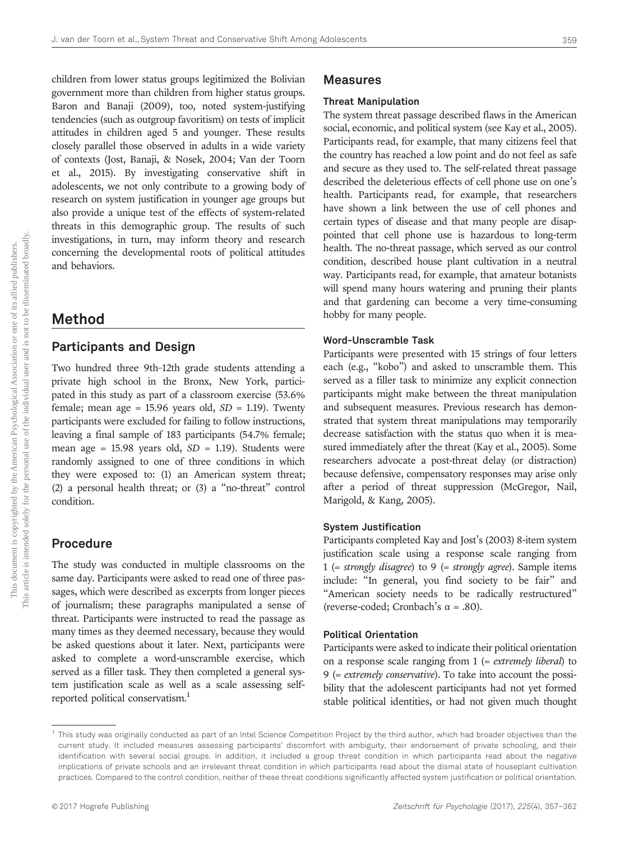children from lower status groups legitimized the Bolivian government more than children from higher status groups. Baron and Banaji (2009), too, noted system-justifying tendencies (such as outgroup favoritism) on tests of implicit attitudes in children aged 5 and younger. These results closely parallel those observed in adults in a wide variety of contexts (Jost, Banaji, & Nosek, 2004; Van der Toorn et al., 2015). By investigating conservative shift in adolescents, we not only contribute to a growing body of research on system justification in younger age groups but also provide a unique test of the effects of system-related threats in this demographic group. The results of such investigations, in turn, may inform theory and research concerning the developmental roots of political attitudes and behaviors.

## Method

## Participants and Design

Two hundred three 9th–12th grade students attending a private high school in the Bronx, New York, participated in this study as part of a classroom exercise (53.6% female; mean age = 15.96 years old,  $SD = 1.19$ ). Twenty participants were excluded for failing to follow instructions, leaving a final sample of 183 participants (54.7% female; mean age =  $15.98$  years old,  $SD = 1.19$ ). Students were randomly assigned to one of three conditions in which they were exposed to: (1) an American system threat; (2) a personal health threat; or (3) a "no-threat" control condition.

## Procedure

The study was conducted in multiple classrooms on the same day. Participants were asked to read one of three passages, which were described as excerpts from longer pieces of journalism; these paragraphs manipulated a sense of threat. Participants were instructed to read the passage as many times as they deemed necessary, because they would be asked questions about it later. Next, participants were asked to complete a word-unscramble exercise, which served as a filler task. They then completed a general system justification scale as well as a scale assessing selfreported political conservatism.<sup>1</sup>

#### Measures

#### Threat Manipulation

The system threat passage described flaws in the American social, economic, and political system (see Kay et al., 2005). Participants read, for example, that many citizens feel that the country has reached a low point and do not feel as safe and secure as they used to. The self-related threat passage described the deleterious effects of cell phone use on one's health. Participants read, for example, that researchers have shown a link between the use of cell phones and certain types of disease and that many people are disappointed that cell phone use is hazardous to long-term health. The no-threat passage, which served as our control condition, described house plant cultivation in a neutral way. Participants read, for example, that amateur botanists will spend many hours watering and pruning their plants and that gardening can become a very time-consuming hobby for many people.

#### Word-Unscramble Task

Participants were presented with 15 strings of four letters each (e.g., "kobo") and asked to unscramble them. This served as a filler task to minimize any explicit connection participants might make between the threat manipulation and subsequent measures. Previous research has demonstrated that system threat manipulations may temporarily decrease satisfaction with the status quo when it is measured immediately after the threat (Kay et al., 2005). Some researchers advocate a post-threat delay (or distraction) because defensive, compensatory responses may arise only after a period of threat suppression (McGregor, Nail, Marigold, & Kang, 2005).

#### System Justification

Participants completed Kay and Jost's (2003) 8-item system justification scale using a response scale ranging from 1 (= strongly disagree) to 9 (= strongly agree). Sample items include: "In general, you find society to be fair" and "American society needs to be radically restructured" (reverse-coded; Cronbach's  $\alpha$  = .80).

#### Political Orientation

Participants were asked to indicate their political orientation on a response scale ranging from  $1$  (= extremely liberal) to <sup>9</sup> (= extremely conservative). To take into account the possibility that the adolescent participants had not yet formed stable political identities, or had not given much thought

<sup>&</sup>lt;sup>1</sup> This study was originally conducted as part of an Intel Science Competition Project by the third author, which had broader objectives than the current study. It included measures assessing participants' discomfort with ambiguity, their endorsement of private schooling, and their identification with several social groups. In addition, it included a group threat condition in which participants read about the negative implications of private schools and an irrelevant threat condition in which participants read about the dismal state of houseplant cultivation practices. Compared to the control condition, neither of these threat conditions significantly affected system justification or political orientation.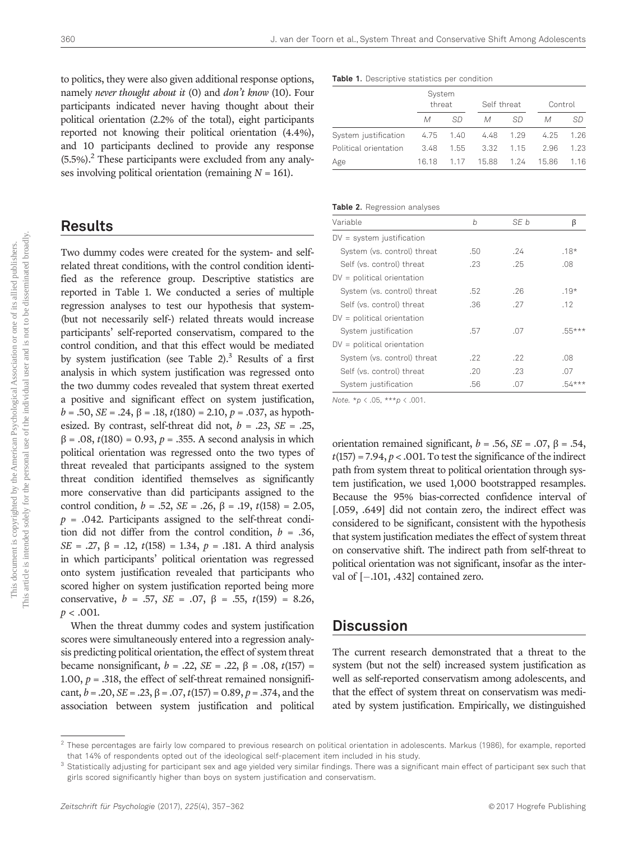to politics, they were also given additional response options, namely never thought about it (0) and don't know (10). Four participants indicated never having thought about their political orientation (2.2% of the total), eight participants reported not knowing their political orientation (4.4%), and 10 participants declined to provide any response  $(5.5%)$ .<sup>2</sup> These participants were excluded from any analyses involving political orientation (remaining  $N = 161$ ).

## Results

Two dummy codes were created for the system- and selfrelated threat conditions, with the control condition identified as the reference group. Descriptive statistics are reported in Table 1. We conducted a series of multiple regression analyses to test our hypothesis that system- (but not necessarily self-) related threats would increase participants' self-reported conservatism, compared to the control condition, and that this effect would be mediated by system justification (see Table 2).<sup>3</sup> Results of a first analysis in which system justification was regressed onto the two dummy codes revealed that system threat exerted a positive and significant effect on system justification,  $b = .50$ ,  $SE = .24$ ,  $\beta = .18$ ,  $t(180) = 2.10$ ,  $p = .037$ , as hypothesized. By contrast, self-threat did not,  $b = .23$ ,  $SE = .25$ ,  $β = .08, t(180) = 0.93, p = .355$ . A second analysis in which political orientation was regressed onto the two types of threat revealed that participants assigned to the system threat condition identified themselves as significantly more conservative than did participants assigned to the control condition,  $b = .52$ ,  $SE = .26$ ,  $\beta = .19$ ,  $t(158) = 2.05$ ,  $p = .042$ . Participants assigned to the self-threat condition did not differ from the control condition,  $b = .36$ , SE = .27,  $\beta$  = .12,  $t(158)$  = 1.34,  $p$  = .181. A third analysis in which participants' political orientation was regressed onto system justification revealed that participants who scored higher on system justification reported being more conservative,  $b = .57$ ,  $SE = .07$ ,  $\beta = .55$ ,  $t(159) = 8.26$ ,  $p < .001$ .

When the threat dummy codes and system justification scores were simultaneously entered into a regression analysis predicting political orientation, the effect of system threat became nonsignificant,  $b = .22$ ,  $SE = .22$ ,  $β = .08$ ,  $t(157) =$ 1.00,  $p = .318$ , the effect of self-threat remained nonsignificant,  $b = .20$ ,  $SE = .23$ ,  $\beta = .07$ ,  $t(157) = 0.89$ ,  $p = .374$ , and the association between system justification and political Table 1. Descriptive statistics per condition

|                       |           | System<br>threat |       | Self threat |       | Control |  |
|-----------------------|-----------|------------------|-------|-------------|-------|---------|--|
|                       | М         | SD               | М     | SD          | М     | SD      |  |
| System justification  | 4.75 1.40 |                  | 4.48  | 1.29        | 4.25  | 1.26    |  |
| Political orientation | 3.48      | 1.55             | 3.32  | 1.15        | 2.96  | 1.23    |  |
| Age                   | 16.18     | 1.17             | 15.88 | 1.24        | 15.86 | 1.16    |  |

#### Table 2. Regression analyses

| Variable                     | b   | SF b |          |
|------------------------------|-----|------|----------|
| $DV = system$ justification  |     |      |          |
| System (vs. control) threat  | .50 | .24  | $.18*$   |
| Self (vs. control) threat    | .23 | .25  | .08      |
| $DV =$ political orientation |     |      |          |
| System (vs. control) threat  | .52 | .26  | $.19*$   |
| Self (vs. control) threat    | .36 | .27  | .12      |
| $DV =$ political orientation |     |      |          |
| System justification         | .57 | .07  | $.55***$ |
| $DV =$ political orientation |     |      |          |
| System (vs. control) threat  | .22 | .22  | .08      |
| Self (vs. control) threat    | .20 | .23  | .07      |
| System justification         | .56 | .07  | $.54***$ |

Note.  $*_{p}$  < .05,  $***_{p}$  < .001.

orientation remained significant,  $b = .56$ ,  $SE = .07$ ,  $\beta = .54$ ,  $t(157) = 7.94$ ,  $p < .001$ . To test the significance of the indirect path from system threat to political orientation through system justification, we used 1,000 bootstrapped resamples. Because the 95% bias-corrected confidence interval of [.059, .649] did not contain zero, the indirect effect was considered to be significant, consistent with the hypothesis that system justification mediates the effect of system threat on conservative shift. The indirect path from self-threat to political orientation was not significant, insofar as the interval of  $[-.101, .432]$  contained zero.

## **Discussion**

The current research demonstrated that a threat to the system (but not the self) increased system justification as well as self-reported conservatism among adolescents, and that the effect of system threat on conservatism was mediated by system justification. Empirically, we distinguished

 $2$  These percentages are fairly low compared to previous research on political orientation in adolescents. Markus (1986), for example, reported that 14% of respondents opted out of the ideological self-placement item included in his study.

 $3$  Statistically adjusting for participant sex and age yielded very similar findings. There was a significant main effect of participant sex such that girls scored significantly higher than boys on system justification and conservatism.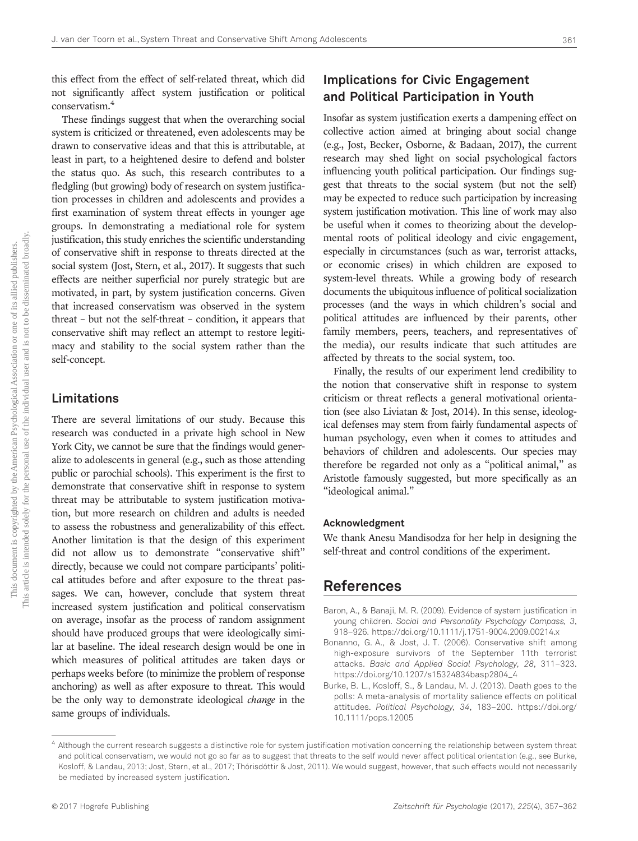this effect from the effect of self-related threat, which did not significantly affect system justification or political conservatism.<sup>4</sup>

These findings suggest that when the overarching social system is criticized or threatened, even adolescents may be drawn to conservative ideas and that this is attributable, at least in part, to a heightened desire to defend and bolster the status quo. As such, this research contributes to a fledgling (but growing) body of research on system justification processes in children and adolescents and provides a first examination of system threat effects in younger age groups. In demonstrating a mediational role for system justification, this study enriches the scientific understanding of conservative shift in response to threats directed at the social system (Jost, Stern, et al., 2017). It suggests that such effects are neither superficial nor purely strategic but are motivated, in part, by system justification concerns. Given that increased conservatism was observed in the system threat – but not the self-threat – condition, it appears that conservative shift may reflect an attempt to restore legitimacy and stability to the social system rather than the self-concept.

### Limitations

There are several limitations of our study. Because this research was conducted in a private high school in New York City, we cannot be sure that the findings would generalize to adolescents in general (e.g., such as those attending public or parochial schools). This experiment is the first to demonstrate that conservative shift in response to system threat may be attributable to system justification motivation, but more research on children and adults is needed to assess the robustness and generalizability of this effect. Another limitation is that the design of this experiment did not allow us to demonstrate "conservative shift" directly, because we could not compare participants' political attitudes before and after exposure to the threat passages. We can, however, conclude that system threat increased system justification and political conservatism on average, insofar as the process of random assignment should have produced groups that were ideologically similar at baseline. The ideal research design would be one in which measures of political attitudes are taken days or perhaps weeks before (to minimize the problem of response anchoring) as well as after exposure to threat. This would be the only way to demonstrate ideological change in the same groups of individuals.

## Implications for Civic Engagement and Political Participation in Youth

Insofar as system justification exerts a dampening effect on collective action aimed at bringing about social change (e.g., Jost, Becker, Osborne, & Badaan, 2017), the current research may shed light on social psychological factors influencing youth political participation. Our findings suggest that threats to the social system (but not the self) may be expected to reduce such participation by increasing system justification motivation. This line of work may also be useful when it comes to theorizing about the developmental roots of political ideology and civic engagement, especially in circumstances (such as war, terrorist attacks, or economic crises) in which children are exposed to system-level threats. While a growing body of research documents the ubiquitous influence of political socialization processes (and the ways in which children's social and political attitudes are influenced by their parents, other family members, peers, teachers, and representatives of the media), our results indicate that such attitudes are affected by threats to the social system, too.

Finally, the results of our experiment lend credibility to the notion that conservative shift in response to system criticism or threat reflects a general motivational orientation (see also Liviatan & Jost, 2014). In this sense, ideological defenses may stem from fairly fundamental aspects of human psychology, even when it comes to attitudes and behaviors of children and adolescents. Our species may therefore be regarded not only as a "political animal," as Aristotle famously suggested, but more specifically as an "ideological animal."

#### Acknowledgment

We thank Anesu Mandisodza for her help in designing the self-threat and control conditions of the experiment.

# References

- Baron, A., & Banaji, M. R. (2009). Evidence of system justification in young children. Social and Personality Psychology Compass, 3, 918–926. https://doi.org/10.1111/j.1751-9004.2009.00214.x
- Bonanno, G. A., & Jost, J. T. (2006). Conservative shift among high-exposure survivors of the September 11th terrorist attacks. Basic and Applied Social Psychology, 28, 311–323. https://doi.org/10.1207/s15324834basp2804\_4
- Burke, B. L., Kosloff, S., & Landau, M. J. (2013). Death goes to the polls: A meta-analysis of mortality salience effects on political attitudes. Political Psychology, 34, 183–200. https://doi.org/ 10.1111/pops.12005

 $^4$  Although the current research suggests a distinctive role for system justification motivation concerning the relationship between system threat and political conservatism, we would not go so far as to suggest that threats to the self would never affect political orientation (e.g., see Burke, Kosloff, & Landau, 2013; Jost, Stern, et al., 2017; Thórisdóttir & Jost, 2011). We would suggest, however, that such effects would not necessarily be mediated by increased system justification.